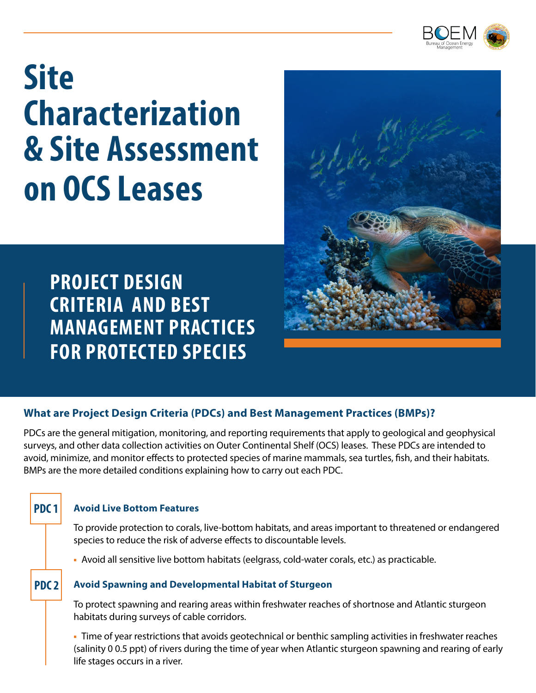

# **Site Characterization & Site Assessment on OCS Leases**



**PROJECT DESIGN CRITERIA AND BEST MANAGEMENT PRACTICES FOR PROTECTED SPECIES** 

### **What are Project Design Criteria (PDCs) and Best Management Practices (BMPs)?**

PDCs are the general mitigation, monitoring, and reporting requirements that apply to geological and geophysical surveys, and other data collection activities on Outer Continental Shelf (OCS) leases. These PDCs are intended to avoid, minimize, and monitor effects to protected species of marine mammals, sea turtles, fish, and their habitats. BMPs are the more detailed conditions explaining how to carry out each PDC.

#### **Avoid Live Bottom Features**

**PDC 1**

To provide protection to corals, live-bottom habitats, and areas important to threatened or endangered species to reduce the risk of adverse effects to discountable levels.

▪ Avoid all sensitive live bottom habitats (eelgrass, cold-water corals, etc.) as practicable.

#### **Avoid Spawning and Developmental Habitat of Sturgeon PDC 2**

To protect spawning and rearing areas within freshwater reaches of shortnose and Atlantic sturgeon habitats during surveys of cable corridors.

• Time of year restrictions that avoids geotechnical or benthic sampling activities in freshwater reaches (salinity 0 0.5 ppt) of rivers during the time of year when Atlantic sturgeon spawning and rearing of early life stages occurs in a river.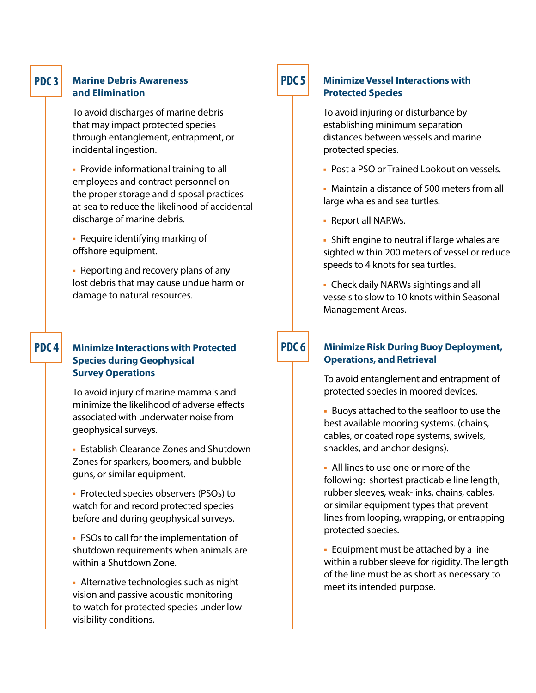#### **PDC 3**

#### **Marine Debris Awareness and Elimination**

To avoid discharges of marine debris that may impact protected species through entanglement, entrapment, or incidental ingestion.

**• Provide informational training to all** employees and contract personnel on the proper storage and disposal practices at-sea to reduce the likelihood of accidental discharge of marine debris.

▪ Require identifying marking of offshore equipment.

• Reporting and recovery plans of any lost debris that may cause undue harm or damage to natural resources.

#### **PDC 4 Minimize Interactions with Protected Species during Geophysical Survey Operations**

To avoid injury of marine mammals and minimize the likelihood of adverse effects associated with underwater noise from geophysical surveys.

**• Establish Clearance Zones and Shutdown** Zones for sparkers, boomers, and bubble guns, or similar equipment.

▪ Protected species observers (PSOs) to watch for and record protected species before and during geophysical surveys.

■ PSOs to call for the implementation of shutdown requirements when animals are within a Shutdown Zone.

**· Alternative technologies such as night** vision and passive acoustic monitoring to watch for protected species under low visibility conditions.

## **PDC 5**

#### **Minimize Vessel Interactions with Protected Species**

To avoid injuring or disturbance by establishing minimum separation distances between vessels and marine protected species.

**• Post a PSO or Trained Lookout on vessels.** 

▪ Maintain a distance of 500 meters from all large whales and sea turtles.

▪ Report all NARWs.

**·** Shift engine to neutral if large whales are sighted within 200 meters of vessel or reduce speeds to 4 knots for sea turtles.

▪ Check daily NARWs sightings and all vessels to slow to 10 knots within Seasonal Management Areas.

# **PDC 6**

#### **Minimize Risk During Buoy Deployment, Operations, and Retrieval**

To avoid entanglement and entrapment of protected species in moored devices.

▪ Buoys attached to the seafloor to use the best available mooring systems. (chains, cables, or coated rope systems, swivels, shackles, and anchor designs).

▪ All lines to use one or more of the following: shortest practicable line length, rubber sleeves, weak-links, chains, cables, or similar equipment types that prevent lines from looping, wrapping, or entrapping protected species.

**Equipment must be attached by a line** within a rubber sleeve for rigidity. The length of the line must be as short as necessary to meet its intended purpose.